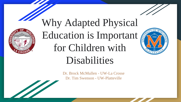

The Company of the Company of the Company of the Company of the Company of the Company of the Company of the Company of the Company of the Company of the Company of the Company of the Company of the Company of the Company

# Why Adapted Physical Education is Important for Children with Disabilities



# Dr. Brock McMullen - UW-La Crosse

Dr. Tim Swenson - UW-Platteville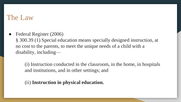#### The Law

Federal Register (2006)

§ 300.39 (1) Special education means specially designed instruction, at no cost to the parents, to meet the unique needs of a child with a disability, including—

(i) Instruction conducted in the classroom, in the home, in hospitals and institutions, and in other settings; and

(ii) **Instruction in physical education.**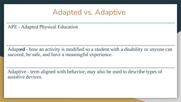#### Adapted vs. Adaptive

APE - Adapted Physical Education

Adapt**ed** - how an activity is modified so a student with a disability or anyone can succeed, be safe, and have a meaningful experience.

Adaptive - term aligned with behavior; may also be used to describe types of assistive devices.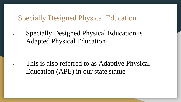#### Specially Designed Physical Education

Specially Designed Physical Education is Adapted Physical Education

• This is also referred to as Adaptive Physical Education (APE) in our state statue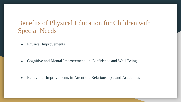#### Benefits of Physical Education for Children with Special Needs

• Physical Improvements

• Cognitive and Mental Improvements in Confidence and Well-Being

• Behavioral Improvements in Attention, Relationships, and Academics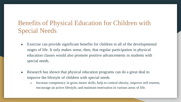#### Benefits of Physical Education for Children with Special Needs

- Exercise can provide significant benefits for children in all of the developmental stages of life. It only makes sense, then, that regular participation in physical education classes would also promote positive advancements in students with special needs.
- Research has shown that physical education programs can do a great deal to improve the lifestyle of children with special needs
	- Increase competency in gross motor skills, help to control obesity, improve self-esteem, encourage an active lifestyle, and maintain motivation in various areas of life.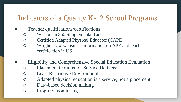### Indicators of a Quality K-12 School Programs

- Teacher qualifications/certifications
	- Wisconsin 860 Supplemental License
	- Certified Adapted Physical Educator (CAPE)
	- Wrights Law website information on APE and teacher certification in US
- Eligibility and Comprehensive Special Education Evaluation
	- Placement Options for Service Delivery
	- Least Restrictive Environment
	- Adapted physical education is a service, not a placement
	- Data-based decision making
	- Progress monitoring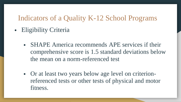#### Indicators of a Quality K-12 School Programs

- Eligibility Criteria
	- **SHAPE America recommends APE services if their** comprehensive score is 1.5 standard deviations below the mean on a norm-referenced test
	- Or at least two years below age level on criterionreferenced tests or other tests of physical and motor fitness.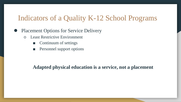#### Indicators of a Quality K-12 School Programs

#### **Placement Options for Service Delivery**

- Least Restrictive Environment
	- Continuum of settings
	- Personnel support options

#### **Adapted physical education is a service, not a placement**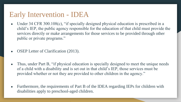#### Early Intervention - IDEA

- Under 34 CFR 300.108(c), "if specially designed physical education is prescribed in a child's IEP, the public agency responsible for the education of that child must provide the services directly or make arrangements for those services to be provided through other public or private programs."
- **OSEP** Letter of Clarification (2013).
- Thus, under Part B, "if physical education is specially designed to meet the unique needs of a child with a disability and is set out in that child's IEP, those services must be provided whether or not they are provided to other children in the agency."
- Furthermore, the requirements of Part B of the IDEA regarding IEPs for children with disabilities apply to preschool-aged children.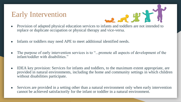## Early Intervention



- replace or duplicate occupation or physical therapy and vice-versa.
- Infants or toddlers may need APE to meet additional identified needs.
- The purpose of early intervention services is to "...promote all aspects of development of the infant/toddler with disabilities."
- IDEA key provision: Services for infants and toddlers, to the maximum extent appropriate, are provided in natural environments, including the home and community settings in which children without disabilities participate.
- Services are provided in a setting other than a natural environment only when early intervention cannot be achieved satisfactorily for the infant or toddler in a natural environment.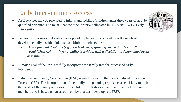#### Early Intervention - Access

- APE services may be provided to infants and toddlers (children under three years of age) by qualified personnel and must meet the other criteria delineated in IDEA '04, Part C Early Intervention.
- Federal law requires that states develop and implement plans to address the needs of developmentally disabled infants from birth through age two.
	- *Developmental disability (e.g., cerebral palsy, spina bifida, etc.) or born with "established risk," = infant/toddler individual with a disability as documented by an assessment.*
- A major goal of the law is to fully incorporate the family into the process of early intervention.
- Individualized Family Service Plan (IFSP) is used instead of the Individualized Education Program (IEP). The incorporation of the family into planning represents a sensitivity to both the needs of the family and those of the child. A multidisciplinary team that includes family members and is based on an assessment by that team develops the IFSP.

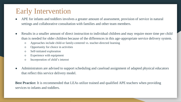#### Early Intervention

- APE for infants and toddlers involves a greater amount of assessment, provision of service in natural settings and collaborative consultation with families and other team members.
- Results in a smaller amount of direct instruction to individual children and may require more time per child than is needed for older children because of the differences in this age-appropriate service delivery system.
	- Approaches include child-or family-centered vs. teacher-directed learning
	- Opportunity for choice in activities
	- Self-initiated exploration
	- Experience with equipment
	- Incorporation of child's interest
- Administrators are advised to support scheduling and caseload assignment of adapted physical educators that reflect this service delivery model.

**Best Practice:** It is recommended that LEAs utilize trained and qualified APE teachers when providing services to infants and toddlers.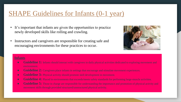#### SHAPE Guidelines for Infants (0-1 year)

- It's important that infants are given the opportunities to practice newly developed skills like rolling and crawling.
- Instructors and caregivers are responsible for creating safe and encouraging environments for these practices to occur.



#### **Infants**

- **Guideline 1:** Infants should interact with caregivers in daily physical activities dedicated to exploring movement and environment.
- **Guideline 2:** Caregivers place infants in settings that encourage and stimulate movement experiences.
- **Guideline 3:** Physical activity should promote skill development in movement.
- **• Guideline 4:** Placed in environments that exceeds/meets safety standards for performing large-muscle activities.
- **• Guideline 5:** Those in charge are responsible for understanding the importance and promotion of physical activity and movement skills through provided structured/unstructured physical activity.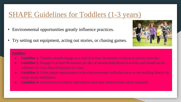### SHAPE Guidelines for Toddlers (1-3 years)

- Environmental opportunities greatly influence practices.
- Try setting out equipment, acting out stories, or chasing games.



#### **Toddlers**

- **Guideline 1:** Toddlers should engage in a total of at least 30 minutes of physical activity each day.
- **Guideline 2:** Engage in at least 60 minutes per day of unstructured physical activity and should not be sedentary for more than 60 minutes at a time.
- **Guideline 3:** Given ample opportunities to develop movement skills that serve as the building-blocks for future motor skillfulness.
- **Guideline 4:** Given access to indoor and outdoor areas that meet/exceeds safety standards.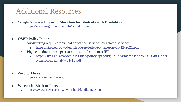## Additional Resources

- **Wright's Law – Physical Education for Students with Disabilities**
	- <https://www.wrightslaw.com/info/pe.index.htm>
- **OSEP Policy Papers** 
	- Substituting required physical education services by related services
		- <https://sites.ed.gov/idea/files/osep-letter-to-tymeson-05-12-2021.pdf>
	- Physical education as part of a preschool student's IEP
		- [https://sites.ed.gov/idea/files/idea/policy/speced/guid/idea/memosdcltrs/13-004807r-wi](https://sites.ed.gov/idea/files/idea/policy/speced/guid/idea/memosdcltrs/13-004807r-wi-tymeson-apefinal-7-31-13.pdf)tymeson-apefinal-7-31-13.pdf
- **Zero to Three** 
	- o <https://www.zerotothree.org/>
- **Wisconsin Birth to Three** 
	- <https://www.dhs.wisconsin.gov/birthto3/family/index.htm>